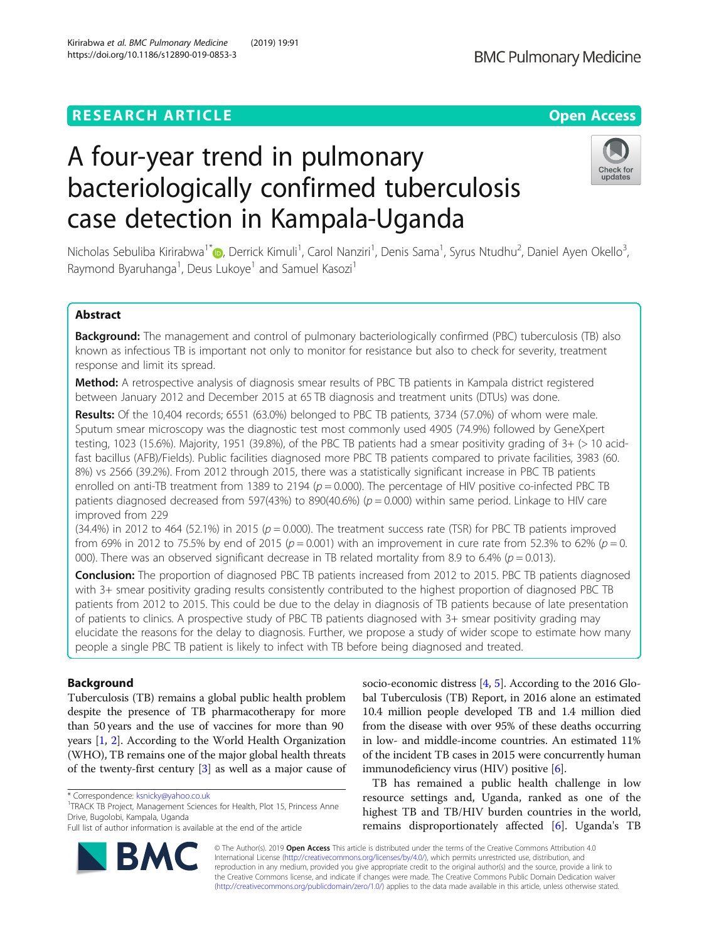# **RESEARCH ARTICLE Example 2014 12:30 The Contract of Contract ACCESS**

# A four-year trend in pulmonary bacteriologically confirmed tuberculosis case detection in Kampala-Uganda

Nicholas Sebuliba Kirirabwa<sup>1\*</sup>�, Derrick Kimuli<sup>1</sup>, Carol Nanziri<sup>1</sup>, Denis Sama<sup>1</sup>, Syrus Ntudhu<sup>2</sup>, Daniel Ayen Okello<sup>3</sup> , Raymond Byaruhanga<sup>1</sup>, Deus Lukoye<sup>1</sup> and Samuel Kasozi<sup>1</sup>

# Abstract

**Background:** The management and control of pulmonary bacteriologically confirmed (PBC) tuberculosis (TB) also known as infectious TB is important not only to monitor for resistance but also to check for severity, treatment response and limit its spread.

Method: A retrospective analysis of diagnosis smear results of PBC TB patients in Kampala district registered between January 2012 and December 2015 at 65 TB diagnosis and treatment units (DTUs) was done.

Results: Of the 10,404 records; 6551 (63.0%) belonged to PBC TB patients, 3734 (57.0%) of whom were male. Sputum smear microscopy was the diagnostic test most commonly used 4905 (74.9%) followed by GeneXpert testing, 1023 (15.6%). Majority, 1951 (39.8%), of the PBC TB patients had a smear positivity grading of 3+ (> 10 acidfast bacillus (AFB)/Fields). Public facilities diagnosed more PBC TB patients compared to private facilities, 3983 (60. 8%) vs 2566 (39.2%). From 2012 through 2015, there was a statistically significant increase in PBC TB patients enrolled on anti-TB treatment from 1389 to 2194 ( $p = 0.000$ ). The percentage of HIV positive co-infected PBC TB patients diagnosed decreased from 597(43%) to 890(40.6%) ( $p = 0.000$ ) within same period. Linkage to HIV care improved from 229

 $(34.4%)$  in 2012 to 464 (52.1%) in 2015 ( $p = 0.000$ ). The treatment success rate (TSR) for PBC TB patients improved from 69% in 2012 to 75.5% by end of 2015 ( $p = 0.001$ ) with an improvement in cure rate from 52.3% to 62% ( $p = 0$ . 000). There was an observed significant decrease in TB related mortality from 8.9 to 6.4% ( $p = 0.013$ ).

Conclusion: The proportion of diagnosed PBC TB patients increased from 2012 to 2015. PBC TB patients diagnosed with 3+ smear positivity grading results consistently contributed to the highest proportion of diagnosed PBC TB patients from 2012 to 2015. This could be due to the delay in diagnosis of TB patients because of late presentation of patients to clinics. A prospective study of PBC TB patients diagnosed with 3+ smear positivity grading may elucidate the reasons for the delay to diagnosis. Further, we propose a study of wider scope to estimate how many people a single PBC TB patient is likely to infect with TB before being diagnosed and treated.

# Background

Tuberculosis (TB) remains a global public health problem despite the presence of TB pharmacotherapy for more than 50 years and the use of vaccines for more than 90 years [\[1](#page-6-0), [2](#page-6-0)]. According to the World Health Organization (WHO), TB remains one of the major global health threats of the twenty-first century [[3](#page-6-0)] as well as a major cause of

<sup>1</sup>TRACK TB Project, Management Sciences for Health, Plot 15, Princess Anne Drive, Bugolobi, Kampala, Uganda

socio-economic distress [[4,](#page-6-0) [5](#page-6-0)]. According to the 2016 Global Tuberculosis (TB) Report, in 2016 alone an estimated 10.4 million people developed TB and 1.4 million died from the disease with over 95% of these deaths occurring in low- and middle-income countries. An estimated 11% of the incident TB cases in 2015 were concurrently human immunodeficiency virus (HIV) positive [\[6\]](#page-6-0).

TB has remained a public health challenge in low resource settings and, Uganda, ranked as one of the highest TB and TB/HIV burden countries in the world, remains disproportionately affected [\[6](#page-6-0)]. Uganda's TB

© The Author(s). 2019 **Open Access** This article is distributed under the terms of the Creative Commons Attribution 4.0 International License [\(http://creativecommons.org/licenses/by/4.0/](http://creativecommons.org/licenses/by/4.0/)), which permits unrestricted use, distribution, and reproduction in any medium, provided you give appropriate credit to the original author(s) and the source, provide a link to the Creative Commons license, and indicate if changes were made. The Creative Commons Public Domain Dedication waiver [\(http://creativecommons.org/publicdomain/zero/1.0/](http://creativecommons.org/publicdomain/zero/1.0/)) applies to the data made available in this article, unless otherwise stated.





Check for updates

<sup>\*</sup> Correspondence: [ksnicky@yahoo.co.uk](mailto:ksnicky@yahoo.co.uk) <sup>1</sup>

Full list of author information is available at the end of the article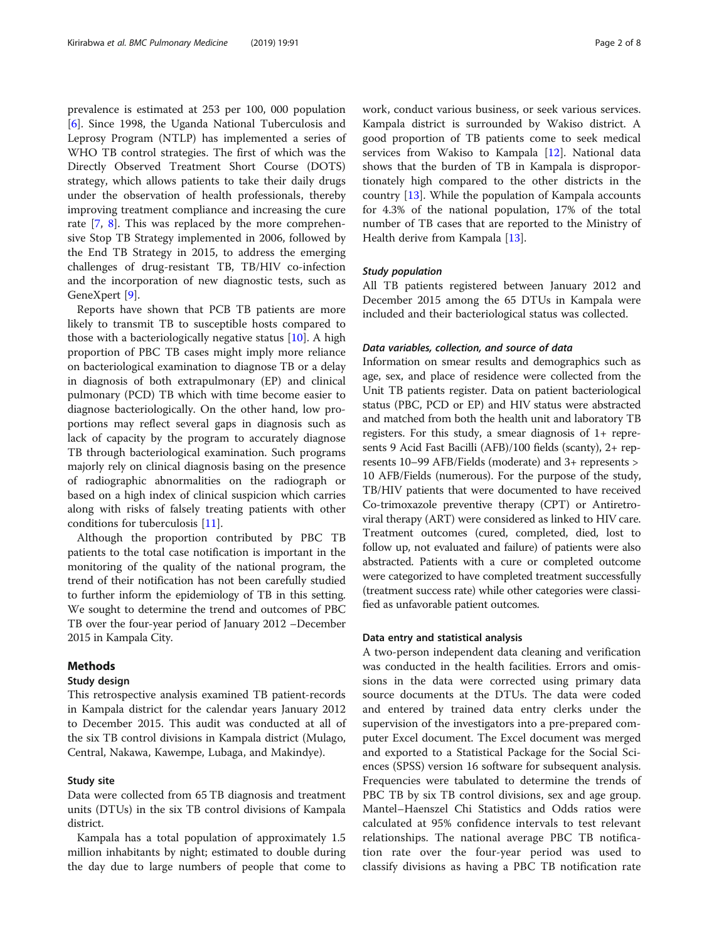prevalence is estimated at 253 per 100, 000 population [[6\]](#page-6-0). Since 1998, the Uganda National Tuberculosis and Leprosy Program (NTLP) has implemented a series of WHO TB control strategies. The first of which was the Directly Observed Treatment Short Course (DOTS) strategy, which allows patients to take their daily drugs under the observation of health professionals, thereby improving treatment compliance and increasing the cure rate [[7](#page-6-0), [8\]](#page-6-0). This was replaced by the more comprehensive Stop TB Strategy implemented in 2006, followed by the End TB Strategy in 2015, to address the emerging challenges of drug-resistant TB, TB/HIV co-infection and the incorporation of new diagnostic tests, such as GeneXpert [\[9](#page-6-0)].

Reports have shown that PCB TB patients are more likely to transmit TB to susceptible hosts compared to those with a bacteriologically negative status [[10\]](#page-7-0). A high proportion of PBC TB cases might imply more reliance on bacteriological examination to diagnose TB or a delay in diagnosis of both extrapulmonary (EP) and clinical pulmonary (PCD) TB which with time become easier to diagnose bacteriologically. On the other hand, low proportions may reflect several gaps in diagnosis such as lack of capacity by the program to accurately diagnose TB through bacteriological examination. Such programs majorly rely on clinical diagnosis basing on the presence of radiographic abnormalities on the radiograph or based on a high index of clinical suspicion which carries along with risks of falsely treating patients with other conditions for tuberculosis [\[11](#page-7-0)].

Although the proportion contributed by PBC TB patients to the total case notification is important in the monitoring of the quality of the national program, the trend of their notification has not been carefully studied to further inform the epidemiology of TB in this setting. We sought to determine the trend and outcomes of PBC TB over the four-year period of January 2012 –December 2015 in Kampala City.

# Methods

#### Study design

This retrospective analysis examined TB patient-records in Kampala district for the calendar years January 2012 to December 2015. This audit was conducted at all of the six TB control divisions in Kampala district (Mulago, Central, Nakawa, Kawempe, Lubaga, and Makindye).

# Study site

Data were collected from 65 TB diagnosis and treatment units (DTUs) in the six TB control divisions of Kampala district.

Kampala has a total population of approximately 1.5 million inhabitants by night; estimated to double during the day due to large numbers of people that come to work, conduct various business, or seek various services. Kampala district is surrounded by Wakiso district. A good proportion of TB patients come to seek medical services from Wakiso to Kampala [[12](#page-7-0)]. National data shows that the burden of TB in Kampala is disproportionately high compared to the other districts in the country [[13](#page-7-0)]. While the population of Kampala accounts for 4.3% of the national population, 17% of the total number of TB cases that are reported to the Ministry of Health derive from Kampala [\[13](#page-7-0)].

# Study population

All TB patients registered between January 2012 and December 2015 among the 65 DTUs in Kampala were included and their bacteriological status was collected.

#### Data variables, collection, and source of data

Information on smear results and demographics such as age, sex, and place of residence were collected from the Unit TB patients register. Data on patient bacteriological status (PBC, PCD or EP) and HIV status were abstracted and matched from both the health unit and laboratory TB registers. For this study, a smear diagnosis of 1+ represents 9 Acid Fast Bacilli (AFB)/100 fields (scanty), 2+ represents 10–99 AFB/Fields (moderate) and 3+ represents > 10 AFB/Fields (numerous). For the purpose of the study, TB/HIV patients that were documented to have received Co-trimoxazole preventive therapy (CPT) or Antiretroviral therapy (ART) were considered as linked to HIV care. Treatment outcomes (cured, completed, died, lost to follow up, not evaluated and failure) of patients were also abstracted. Patients with a cure or completed outcome were categorized to have completed treatment successfully (treatment success rate) while other categories were classified as unfavorable patient outcomes.

#### Data entry and statistical analysis

A two-person independent data cleaning and verification was conducted in the health facilities. Errors and omissions in the data were corrected using primary data source documents at the DTUs. The data were coded and entered by trained data entry clerks under the supervision of the investigators into a pre-prepared computer Excel document. The Excel document was merged and exported to a Statistical Package for the Social Sciences (SPSS) version 16 software for subsequent analysis. Frequencies were tabulated to determine the trends of PBC TB by six TB control divisions, sex and age group. Mantel–Haenszel Chi Statistics and Odds ratios were calculated at 95% confidence intervals to test relevant relationships. The national average PBC TB notification rate over the four-year period was used to classify divisions as having a PBC TB notification rate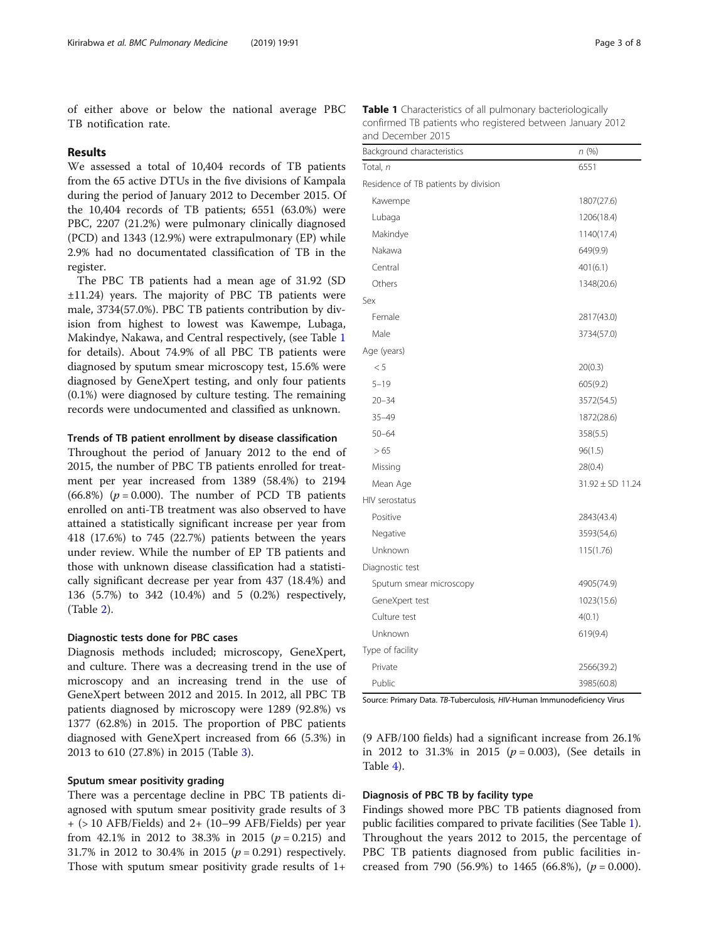of either above or below the national average PBC TB notification rate.

# Results

We assessed a total of 10,404 records of TB patients from the 65 active DTUs in the five divisions of Kampala during the period of January 2012 to December 2015. Of the 10,404 records of TB patients; 6551 (63.0%) were PBC, 2207 (21.2%) were pulmonary clinically diagnosed (PCD) and 1343 (12.9%) were extrapulmonary (EP) while 2.9% had no documentated classification of TB in the register.

The PBC TB patients had a mean age of 31.92 (SD ±11.24) years. The majority of PBC TB patients were male, 3734(57.0%). PBC TB patients contribution by division from highest to lowest was Kawempe, Lubaga, Makindye, Nakawa, and Central respectively, (see Table 1 for details). About 74.9% of all PBC TB patients were diagnosed by sputum smear microscopy test, 15.6% were diagnosed by GeneXpert testing, and only four patients (0.1%) were diagnosed by culture testing. The remaining records were undocumented and classified as unknown.

#### Trends of TB patient enrollment by disease classification

Throughout the period of January 2012 to the end of 2015, the number of PBC TB patients enrolled for treatment per year increased from 1389 (58.4%) to 2194 (66.8%) ( $p = 0.000$ ). The number of PCD TB patients enrolled on anti-TB treatment was also observed to have attained a statistically significant increase per year from 418 (17.6%) to 745 (22.7%) patients between the years under review. While the number of EP TB patients and those with unknown disease classification had a statistically significant decrease per year from 437 (18.4%) and 136 (5.7%) to 342 (10.4%) and 5 (0.2%) respectively, (Table [2\)](#page-3-0).

### Diagnostic tests done for PBC cases

Diagnosis methods included; microscopy, GeneXpert, and culture. There was a decreasing trend in the use of microscopy and an increasing trend in the use of GeneXpert between 2012 and 2015. In 2012, all PBC TB patients diagnosed by microscopy were 1289 (92.8%) vs 1377 (62.8%) in 2015. The proportion of PBC patients diagnosed with GeneXpert increased from 66 (5.3%) in 2013 to 610 (27.8%) in 2015 (Table [3\)](#page-3-0).

#### Sputum smear positivity grading

There was a percentage decline in PBC TB patients diagnosed with sputum smear positivity grade results of 3  $+$  ( $>$  10 AFB/Fields) and 2 $+$  (10–99 AFB/Fields) per year from 42.1% in 2012 to 38.3% in 2015 ( $p = 0.215$ ) and 31.7% in 2012 to 30.4% in 2015 ( $p = 0.291$ ) respectively. Those with sputum smear positivity grade results of 1+

Table 1 Characteristics of all pulmonary bacteriologically confirmed TB patients who registered between January 2012 and December 2015

| Background characteristics           | n(%)                 |
|--------------------------------------|----------------------|
| Total, n                             | 6551                 |
| Residence of TB patients by division |                      |
| Kawempe                              | 1807(27.6)           |
| Lubaga                               | 1206(18.4)           |
| Makindye                             | 1140(17.4)           |
| Nakawa                               | 649(9.9)             |
| Central                              | 401(6.1)             |
| Others                               | 1348(20.6)           |
| Sex                                  |                      |
| Female                               | 2817(43.0)           |
| Male                                 | 3734(57.0)           |
| Age (years)                          |                      |
| < 5                                  | 20(0.3)              |
| $5 - 19$                             | 605(9.2)             |
| $20 - 34$                            | 3572(54.5)           |
| $35 - 49$                            | 1872(28.6)           |
| $50 - 64$                            | 358(5.5)             |
| > 65                                 | 96(1.5)              |
| Missing                              | 28(0.4)              |
| Mean Age                             | $31.92 \pm SD$ 11.24 |
| HIV serostatus                       |                      |
| Positive                             | 2843(43.4)           |
| Negative                             | 3593(54,6)           |
| Unknown                              | 115(1.76)            |
| Diagnostic test                      |                      |
| Sputum smear microscopy              | 4905(74.9)           |
| GeneXpert test                       | 1023(15.6)           |
| Culture test                         | 4(0.1)               |
| Unknown                              | 619(9.4)             |
| Type of facility                     |                      |
| Private                              | 2566(39.2)           |
| Public                               | 3985(60.8)           |

Source: Primary Data. TB-Tuberculosis, HIV-Human Immunodeficiency Virus

(9 AFB/100 fields) had a significant increase from 26.1% in 2012 to 31.3% in 2015 ( $p = 0.003$ ), (See details in Table [4\)](#page-4-0).

# Diagnosis of PBC TB by facility type

Findings showed more PBC TB patients diagnosed from public facilities compared to private facilities (See Table 1). Throughout the years 2012 to 2015, the percentage of PBC TB patients diagnosed from public facilities increased from 790 (56.9%) to 1465 (66.8%),  $(p = 0.000)$ .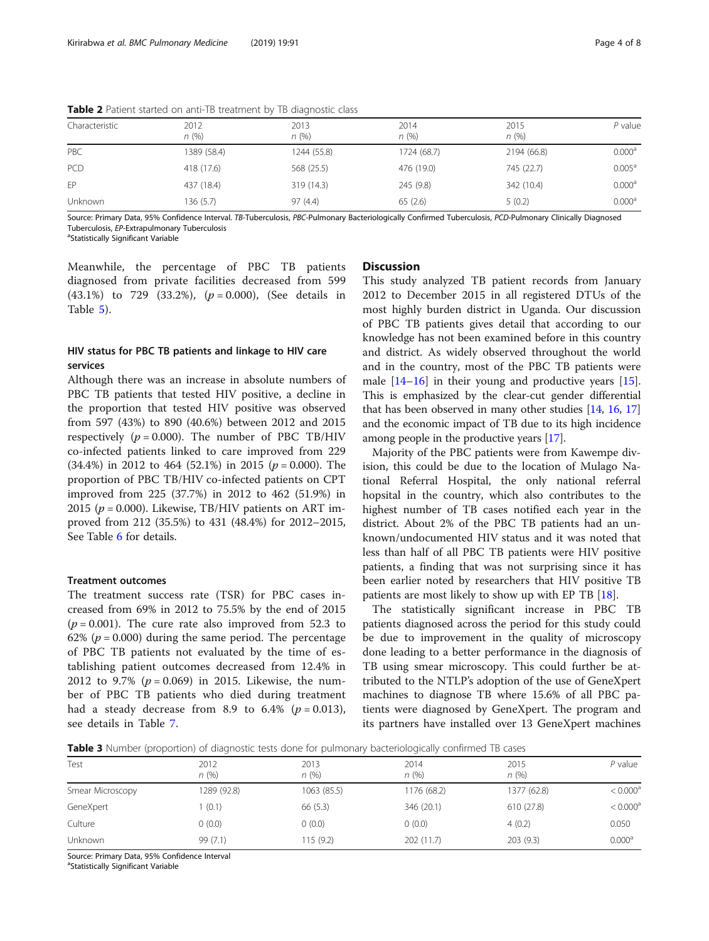| Characteristic | 2012<br>n(%) | 2013<br>n(%) | 2014<br>n(%) | 2015<br>n(%) | P value            |
|----------------|--------------|--------------|--------------|--------------|--------------------|
| PBC            | 1389 (58.4)  | 1244 (55.8)  | 1724 (68.7)  | 2194 (66.8)  | 0.000 <sup>a</sup> |
| PCD            | 418 (17.6)   | 568 (25.5)   | 476 (19.0)   | 745 (22.7)   | $0.005^{\circ}$    |
| FP             | 437 (18.4)   | 319 (14.3)   | 245 (9.8)    | 342 (10.4)   | 0.000 <sup>a</sup> |
| Unknown        | 136 (5.7)    | 97(4.4)      | 65(2.6)      | 5(0.2)       | 0.000 <sup>a</sup> |

<span id="page-3-0"></span>Table 2 Patient started on anti-TB treatment by TB diagnostic class

Source: Primary Data, 95% Confidence Interval. TB-Tuberculosis, PBC-Pulmonary Bacteriologically Confirmed Tuberculosis, PCD-Pulmonary Clinically Diagnosed Tuberculosis, EP-Extrapulmonary Tuberculosis <sup>a</sup>

<sup>a</sup>Statistically Significant Variable

Meanwhile, the percentage of PBC TB patients diagnosed from private facilities decreased from 599  $(43.1\%)$  to 729  $(33.2\%)$ ,  $(p = 0.000)$ , (See details in Table [5](#page-4-0)).

# HIV status for PBC TB patients and linkage to HIV care services

Although there was an increase in absolute numbers of PBC TB patients that tested HIV positive, a decline in the proportion that tested HIV positive was observed from 597 (43%) to 890 (40.6%) between 2012 and 2015 respectively ( $p = 0.000$ ). The number of PBC TB/HIV co-infected patients linked to care improved from 229  $(34.4\%)$  in 2012 to 464 (52.1%) in 2015 ( $p = 0.000$ ). The proportion of PBC TB/HIV co-infected patients on CPT improved from 225 (37.7%) in 2012 to 462 (51.9%) in 2015 ( $p = 0.000$ ). Likewise, TB/HIV patients on ART improved from 212 (35.5%) to 431 (48.4%) for 2012–2015, See Table [6](#page-5-0) for details.

# Treatment outcomes

The treatment success rate (TSR) for PBC cases increased from 69% in 2012 to 75.5% by the end of 2015  $(p = 0.001)$ . The cure rate also improved from 52.3 to 62% ( $p = 0.000$ ) during the same period. The percentage of PBC TB patients not evaluated by the time of establishing patient outcomes decreased from 12.4% in 2012 to 9.7% ( $p = 0.069$ ) in 2015. Likewise, the number of PBC TB patients who died during treatment had a steady decrease from 8.9 to 6.4%  $(p = 0.013)$ , see details in Table [7.](#page-5-0)

# **Discussion**

This study analyzed TB patient records from January 2012 to December 2015 in all registered DTUs of the most highly burden district in Uganda. Our discussion of PBC TB patients gives detail that according to our knowledge has not been examined before in this country and district. As widely observed throughout the world and in the country, most of the PBC TB patients were male [[14](#page-7-0)–[16](#page-7-0)] in their young and productive years [\[15](#page-7-0)]. This is emphasized by the clear-cut gender differential that has been observed in many other studies [\[14,](#page-7-0) [16](#page-7-0), [17](#page-7-0)] and the economic impact of TB due to its high incidence among people in the productive years [[17](#page-7-0)].

Majority of the PBC patients were from Kawempe division, this could be due to the location of Mulago National Referral Hospital, the only national referral hopsital in the country, which also contributes to the highest number of TB cases notified each year in the district. About 2% of the PBC TB patients had an unknown/undocumented HIV status and it was noted that less than half of all PBC TB patients were HIV positive patients, a finding that was not surprising since it has been earlier noted by researchers that HIV positive TB patients are most likely to show up with EP TB [[18\]](#page-7-0).

The statistically significant increase in PBC TB patients diagnosed across the period for this study could be due to improvement in the quality of microscopy done leading to a better performance in the diagnosis of TB using smear microscopy. This could further be attributed to the NTLP's adoption of the use of GeneXpert machines to diagnose TB where 15.6% of all PBC patients were diagnosed by GeneXpert. The program and its partners have installed over 13 GeneXpert machines

**Table 3** Number (proportion) of diagnostic tests done for pulmonary bacteriologically confirmed TB cases

| Test             | 2012<br>n(%) | 2013<br>n(%) | 2014<br>n(%) | 2015<br>n(%) | $P$ value            |
|------------------|--------------|--------------|--------------|--------------|----------------------|
| Smear Microscopy | 1289 (92.8)  | 1063 (85.5)  | 1176 (68.2)  | 1377 (62.8)  | < 0.000 <sup>a</sup> |
| GeneXpert        | (0.1)        | 66 (5.3)     | 346 (20.1)   | 610 (27.8)   | < 0.000 <sup>a</sup> |
| Culture          | 0(0.0)       | (0.0)        | 0(0.0)       | 4(0.2)       | 0.050                |
| Unknown          | 99 (7.1)     | 115 (9.2)    | 202 (11.7)   | 203(9.3)     | 0.000 <sup>a</sup>   |

Source: Primary Data, 95% Confidence Interval

<sup>a</sup>Statistically Significant Variable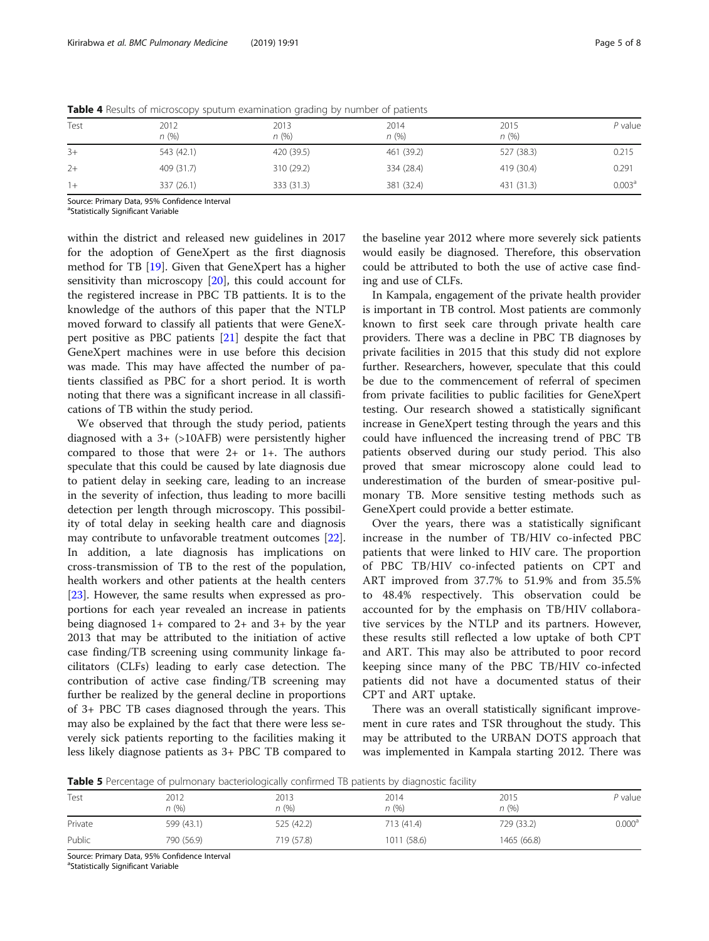| Test | 2012<br>n(%) | 2013<br>n(%) | 2014<br>n(%) | 2015<br>n(%) | $P$ value          |
|------|--------------|--------------|--------------|--------------|--------------------|
| $3+$ | 543 (42.1)   | 420 (39.5)   | 461 (39.2)   | 527 (38.3)   | 0.215              |
| $2+$ | 409 (31.7)   | 310 (29.2)   | 334 (28.4)   | 419 (30.4)   | 0.291              |
| $1+$ | 337 (26.1)   | 333 (31.3)   | 381 (32.4)   | 431 (31.3)   | 0.003 <sup>a</sup> |

<span id="page-4-0"></span>Table 4 Results of microscopy sputum examination grading by number of patients

Source: Primary Data, 95% Confidence Interval

<sup>a</sup>Statistically Significant Variable

within the district and released new guidelines in 2017 for the adoption of GeneXpert as the first diagnosis method for TB [[19\]](#page-7-0). Given that GeneXpert has a higher sensitivity than microscopy [[20](#page-7-0)], this could account for the registered increase in PBC TB pattients. It is to the knowledge of the authors of this paper that the NTLP moved forward to classify all patients that were GeneXpert positive as PBC patients [[21\]](#page-7-0) despite the fact that GeneXpert machines were in use before this decision was made. This may have affected the number of patients classified as PBC for a short period. It is worth noting that there was a significant increase in all classifications of TB within the study period.

We observed that through the study period, patients diagnosed with a  $3+$  ( $>10$ AFB) were persistently higher compared to those that were 2+ or 1+. The authors speculate that this could be caused by late diagnosis due to patient delay in seeking care, leading to an increase in the severity of infection, thus leading to more bacilli detection per length through microscopy. This possibility of total delay in seeking health care and diagnosis may contribute to unfavorable treatment outcomes [\[22](#page-7-0)]. In addition, a late diagnosis has implications on cross-transmission of TB to the rest of the population, health workers and other patients at the health centers [[23\]](#page-7-0). However, the same results when expressed as proportions for each year revealed an increase in patients being diagnosed  $1+$  compared to  $2+$  and  $3+$  by the year 2013 that may be attributed to the initiation of active case finding/TB screening using community linkage facilitators (CLFs) leading to early case detection. The contribution of active case finding/TB screening may further be realized by the general decline in proportions of 3+ PBC TB cases diagnosed through the years. This may also be explained by the fact that there were less severely sick patients reporting to the facilities making it less likely diagnose patients as 3+ PBC TB compared to

the baseline year 2012 where more severely sick patients would easily be diagnosed. Therefore, this observation could be attributed to both the use of active case finding and use of CLFs.

In Kampala, engagement of the private health provider is important in TB control. Most patients are commonly known to first seek care through private health care providers. There was a decline in PBC TB diagnoses by private facilities in 2015 that this study did not explore further. Researchers, however, speculate that this could be due to the commencement of referral of specimen from private facilities to public facilities for GeneXpert testing. Our research showed a statistically significant increase in GeneXpert testing through the years and this could have influenced the increasing trend of PBC TB patients observed during our study period. This also proved that smear microscopy alone could lead to underestimation of the burden of smear-positive pulmonary TB. More sensitive testing methods such as GeneXpert could provide a better estimate.

Over the years, there was a statistically significant increase in the number of TB/HIV co-infected PBC patients that were linked to HIV care. The proportion of PBC TB/HIV co-infected patients on CPT and ART improved from 37.7% to 51.9% and from 35.5% to 48.4% respectively. This observation could be accounted for by the emphasis on TB/HIV collaborative services by the NTLP and its partners. However, these results still reflected a low uptake of both CPT and ART. This may also be attributed to poor record keeping since many of the PBC TB/HIV co-infected patients did not have a documented status of their CPT and ART uptake.

There was an overall statistically significant improvement in cure rates and TSR throughout the study. This may be attributed to the URBAN DOTS approach that was implemented in Kampala starting 2012. There was

**Table 5** Percentage of pulmonary bacteriologically confirmed TB patients by diagnostic facility

|         | $\tilde{\phantom{a}}$ | $\tilde{\phantom{a}}$ | $\tilde{\phantom{a}}$ |              |                    |
|---------|-----------------------|-----------------------|-----------------------|--------------|--------------------|
| Test    | 2012<br>n(%)          | 2013<br>n (%)         | 2014<br>n(%)          | 2015<br>n(%) | P value            |
| Private | 599 (43.1)            | 525 (42.2)            | 713 (41.4)            | 729 (33.2)   | 0.000 <sup>a</sup> |
| Public  | 790 (56.9)            | 719 (57.8)            | 1011 (58.6)           | 1465 (66.8)  |                    |

Source: Primary Data, 95% Confidence Interval

<sup>a</sup>Statistically Significant Variable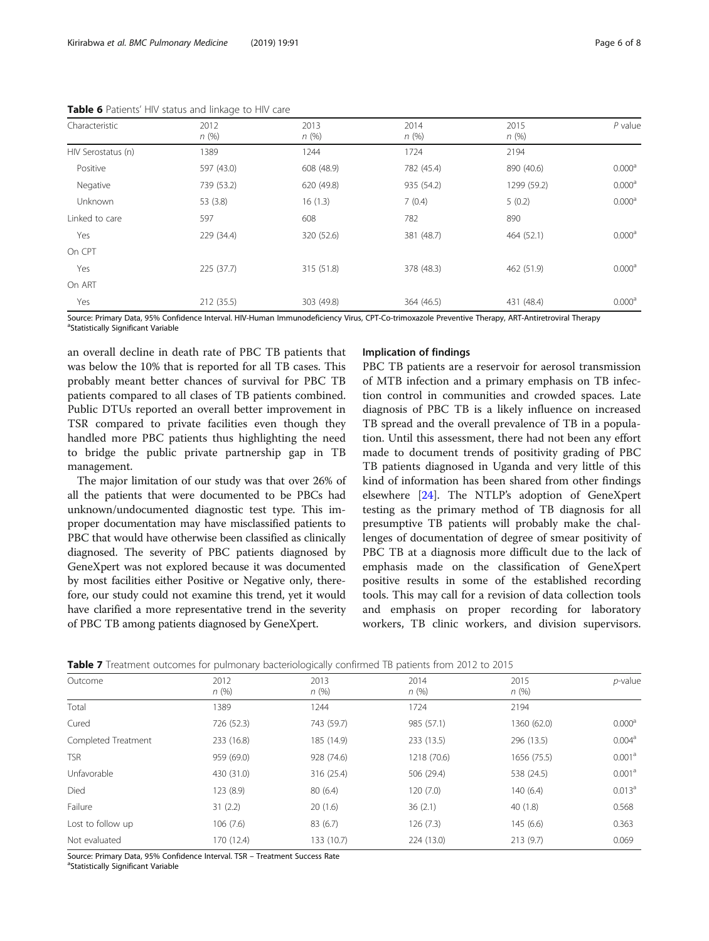| Characteristic     | 2012<br>n(%) | 2013<br>n(%) | 2014<br>n(%) | 2015<br>n(%) | $P$ value          |
|--------------------|--------------|--------------|--------------|--------------|--------------------|
| HIV Serostatus (n) | 1389         | 1244         | 1724         | 2194         |                    |
| Positive           | 597 (43.0)   | 608 (48.9)   | 782 (45.4)   | 890 (40.6)   | 0.000 <sup>a</sup> |
| Negative           | 739 (53.2)   | 620 (49.8)   | 935 (54.2)   | 1299 (59.2)  | 0.000 <sup>a</sup> |
| Unknown            | 53 (3.8)     | 16(1.3)      | 7(0.4)       | 5(0.2)       | 0.000 <sup>a</sup> |
| Linked to care     | 597          | 608          | 782          | 890          |                    |
| Yes                | 229 (34.4)   | 320 (52.6)   | 381 (48.7)   | 464 (52.1)   | 0.000 <sup>a</sup> |
| On CPT             |              |              |              |              |                    |
| Yes                | 225(37.7)    | 315 (51.8)   | 378 (48.3)   | 462 (51.9)   | 0.000 <sup>a</sup> |
| On ART             |              |              |              |              |                    |
| Yes                | 212 (35.5)   | 303 (49.8)   | 364 (46.5)   | 431 (48.4)   | 0.000 <sup>a</sup> |

<span id="page-5-0"></span>Table 6 Patients' HIV status and linkage to HIV care

Source: Primary Data, 95% Confidence Interval. HIV-Human Immunodeficiency Virus, CPT-Co-trimoxazole Preventive Therapy, ART-Antiretroviral Therapy <sup>a</sup>Statistically Significant Variable

an overall decline in death rate of PBC TB patients that was below the 10% that is reported for all TB cases. This probably meant better chances of survival for PBC TB patients compared to all clases of TB patients combined. Public DTUs reported an overall better improvement in TSR compared to private facilities even though they handled more PBC patients thus highlighting the need to bridge the public private partnership gap in TB management.

The major limitation of our study was that over 26% of all the patients that were documented to be PBCs had unknown/undocumented diagnostic test type. This improper documentation may have misclassified patients to PBC that would have otherwise been classified as clinically diagnosed. The severity of PBC patients diagnosed by GeneXpert was not explored because it was documented by most facilities either Positive or Negative only, therefore, our study could not examine this trend, yet it would have clarified a more representative trend in the severity of PBC TB among patients diagnosed by GeneXpert.

# Implication of findings

PBC TB patients are a reservoir for aerosol transmission of MTB infection and a primary emphasis on TB infection control in communities and crowded spaces. Late diagnosis of PBC TB is a likely influence on increased TB spread and the overall prevalence of TB in a population. Until this assessment, there had not been any effort made to document trends of positivity grading of PBC TB patients diagnosed in Uganda and very little of this kind of information has been shared from other findings elsewhere [\[24](#page-7-0)]. The NTLP's adoption of GeneXpert testing as the primary method of TB diagnosis for all presumptive TB patients will probably make the challenges of documentation of degree of smear positivity of PBC TB at a diagnosis more difficult due to the lack of emphasis made on the classification of GeneXpert positive results in some of the established recording tools. This may call for a revision of data collection tools and emphasis on proper recording for laboratory workers, TB clinic workers, and division supervisors.

| Table 7 Treatment outcomes for pulmonary bacteriologically confirmed TB patients from 2012 to 2015 |  |
|----------------------------------------------------------------------------------------------------|--|
|----------------------------------------------------------------------------------------------------|--|

| Outcome             | 2012<br>n(%) | 2013<br>n(%) | 2014<br>n(%) | 2015<br>n(%) | $p$ -value         |
|---------------------|--------------|--------------|--------------|--------------|--------------------|
| Total               | 1389         | 1244         | 1724         | 2194         |                    |
| Cured               | 726 (52.3)   | 743 (59.7)   | 985 (57.1)   | 1360 (62.0)  | 0.000 <sup>a</sup> |
| Completed Treatment | 233 (16.8)   | 185 (14.9)   | 233 (13.5)   | 296 (13.5)   | 0.004 <sup>a</sup> |
| <b>TSR</b>          | 959 (69.0)   | 928 (74.6)   | 1218 (70.6)  | 1656 (75.5)  | 0.001 <sup>a</sup> |
| Unfavorable         | 430 (31.0)   | 316 (25.4)   | 506 (29.4)   | 538 (24.5)   | 0.001 <sup>a</sup> |
| Died                | 123 (8.9)    | 80(6.4)      | 120(7.0)     | 140(6.4)     | $0.013^a$          |
| Failure             | 31(2.2)      | 20(1.6)      | 36(2.1)      | 40(1.8)      | 0.568              |
| Lost to follow up   | 106(7.6)     | 83(6.7)      | 126(7.3)     | 145(6.6)     | 0.363              |
| Not evaluated       | 170 (12.4)   | 133 (10.7)   | 224 (13.0)   | 213(9.7)     | 0.069              |
|                     |              |              |              |              |                    |

Source: Primary Data, 95% Confidence Interval. TSR - Treatment Success Rate

<sup>a</sup>Statistically Significant Variable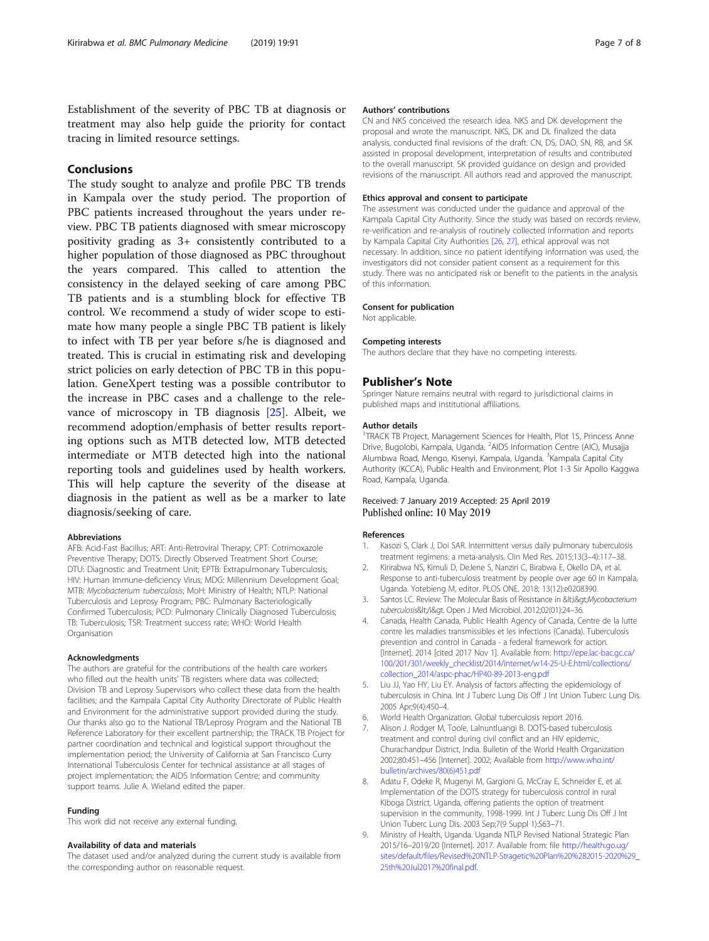<span id="page-6-0"></span>Establishment of the severity of PBC TB at diagnosis or treatment may also help guide the priority for contact tracing in limited resource settings.

# Conclusions

The study sought to analyze and profile PBC TB trends in Kampala over the study period. The proportion of PBC patients increased throughout the years under review. PBC TB patients diagnosed with smear microscopy positivity grading as 3+ consistently contributed to a higher population of those diagnosed as PBC throughout the years compared. This called to attention the consistency in the delayed seeking of care among PBC TB patients and is a stumbling block for effective TB control. We recommend a study of wider scope to estimate how many people a single PBC TB patient is likely to infect with TB per year before s/he is diagnosed and treated. This is crucial in estimating risk and developing strict policies on early detection of PBC TB in this population. GeneXpert testing was a possible contributor to the increase in PBC cases and a challenge to the relevance of microscopy in TB diagnosis [[25\]](#page-7-0). Albeit, we recommend adoption/emphasis of better results reporting options such as MTB detected low, MTB detected intermediate or MTB detected high into the national reporting tools and guidelines used by health workers. This will help capture the severity of the disease at diagnosis in the patient as well as be a marker to late diagnosis/seeking of care.

#### Abbreviations

AFB: Acid-Fast Bacillus; ART: Anti-Retroviral Therapy; CPT: Cotrimoxazole Preventive Therapy; DOTS: Directly Observed Treatment Short Course; DTU: Diagnostic and Treatment Unit; EPTB: Extrapulmonary Tuberculosis; HIV: Human Immune-deficiency Virus; MDG: Millennium Development Goal; MTB: Mycobacterium tuberculosis; MoH: Ministry of Health; NTLP: National Tuberculosis and Leprosy Program; PBC: Pulmonary Bacteriologically Confirmed Tuberculosis; PCD: Pulmonary Clinically Diagnosed Tuberculosis; TB: Tuberculosis; TSR: Treatment success rate; WHO: World Health Organisation

#### Acknowledgments

The authors are grateful for the contributions of the health care workers who filled out the health units' TB registers where data was collected; Division TB and Leprosy Supervisors who collect these data from the health facilities; and the Kampala Capital City Authority Directorate of Public Health and Environment for the administrative support provided during the study. Our thanks also go to the National TB/Leprosy Program and the National TB Reference Laboratory for their excellent partnership; the TRACK TB Project for partner coordination and technical and logistical support throughout the implementation period; the University of California at San Francisco Curry International Tuberculosis Center for technical assistance at all stages of project implementation; the AIDS Information Centre; and community support teams. Julie A. Wieland edited the paper.

#### Funding

This work did not receive any external funding.

#### Availability of data and materials

The dataset used and/or analyzed during the current study is available from the corresponding author on reasonable request.

#### Authors' contributions

CN and NKS conceived the research idea. NKS and DK development the proposal and wrote the manuscript. NKS, DK and DL finalized the data analysis, conducted final revisions of the draft. CN, DS, DAO, SN, RB, and SK assisted in proposal development, interpretation of results and contributed to the overall manuscript. SK provided guidance on design and provided revisions of the manuscript. All authors read and approved the manuscript.

#### Ethics approval and consent to participate

The assessment was conducted under the guidance and approval of the Kampala Capital City Authority. Since the study was based on records review, re-verification and re-analysis of routinely collected information and reports by Kampala Capital City Authorities [[26](#page-7-0), [27\]](#page-7-0), ethical approval was not necessary. In addition, since no patient identifying information was used, the investigators did not consider patient consent as a requirement for this study. There was no anticipated risk or benefit to the patients in the analysis of this information.

#### Consent for publication

Not applicable.

#### Competing interests

The authors declare that they have no competing interests.

#### Publisher's Note

Springer Nature remains neutral with regard to jurisdictional claims in published maps and institutional affiliations.

#### Author details

<sup>1</sup>TRACK TB Project, Management Sciences for Health, Plot 15, Princess Anne Drive, Bugolobi, Kampala, Uganda. <sup>2</sup>AIDS Information Centre (AIC), Musajja Alumbwa Road, Mengo, Kisenyi, Kampala, Uganda. <sup>3</sup>Kampala Capital City Authority (KCCA), Public Health and Environment, Plot 1-3 Sir Apollo Kaggwa Road, Kampala, Uganda.

#### Received: 7 January 2019 Accepted: 25 April 2019 Published online: 10 May 2019

#### References

- 1. Kasozi S, Clark J, Doi SAR. Intermittent versus daily pulmonary tuberculosis treatment regimens: a meta-analysis. Clin Med Res. 2015;13(3–4):117–38.
- 2. Kirirabwa NS, Kimuli D, DeJene S, Nanziri C, Birabwa E, Okello DA, et al. Response to anti-tuberculosis treatment by people over age 60 in Kampala, Uganda. Yotebieng M, editor. PLOS ONE. 2018; 13(12):e0208390.
- 3. Santos LC. Review: The Molecular Basis of Resistance in < i&qt; Mycobacterium tuberculosis</i&gt. Open J Med Microbiol. 2012;02(01):24–36.
- 4. Canada, Health Canada, Public Health Agency of Canada, Centre de la lutte contre les maladies transmissibles et les infections (Canada). Tuberculosis prevention and control in Canada - a federal framework for action. [Internet]. 2014 [cited 2017 Nov 1]. Available from: [http://epe.lac-bac.gc.ca/](http://epe.lac-bac.gc.ca/100/201/301/weekly_checklist/2014/internet/w14-25-U-E.html/collections/collection_2014/aspc-phac/HP40-89-2013-eng.pdf) [100/201/301/weekly\\_checklist/2014/internet/w14-25-U-E.html/collections/](http://epe.lac-bac.gc.ca/100/201/301/weekly_checklist/2014/internet/w14-25-U-E.html/collections/collection_2014/aspc-phac/HP40-89-2013-eng.pdf) [collection\\_2014/aspc-phac/HP40-89-2013-eng.pdf](http://epe.lac-bac.gc.ca/100/201/301/weekly_checklist/2014/internet/w14-25-U-E.html/collections/collection_2014/aspc-phac/HP40-89-2013-eng.pdf)
- 5. Liu JJ, Yao HY, Liu EY. Analysis of factors affecting the epidemiology of tuberculosis in China. Int J Tuberc Lung Dis Off J Int Union Tuberc Lung Dis. 2005 Apr;9(4):450–4.
- 6. World Health Organization. Global tuberculosis report 2016.
- 7. Alison J. Rodger M, Toole, Lalnuntluangi B. DOTS-based tuberculosis treatment and control during civil conflict and an HIV epidemic, Churachandpur District, India. Bulletin of the World Health Organization 2002;80:451–456 [Internet]. 2002; Available from [http://www.who.int/](http://www.who.int/bulletin/archives/80(6)451.pdf) [bulletin/archives/80\(6\)451.pdf](http://www.who.int/bulletin/archives/80(6)451.pdf)
- 8. Adatu F, Odeke R, Mugenyi M, Gargioni G, McCray E, Schneider E, et al. Implementation of the DOTS strategy for tuberculosis control in rural Kiboga District, Uganda, offering patients the option of treatment supervision in the community, 1998-1999. Int J Tuberc Lung Dis Off J Int Union Tuberc Lung Dis. 2003 Sep;7(9 Suppl 1):S63–71.
- 9. Ministry of Health, Uganda. Uganda NTLP Revised National Strategic Plan 2015/16–2019/20 [Internet]. 2017. Available from: file [http://health.go.ug/](http://health.go.ug/sites/default/files/Revised%20NTLP-Stragetic%20Plan%20%282015-2020%29_25th%20Jul2017%20final.pdf) [sites/default/files/Revised%20NTLP-Stragetic%20Plan%20%282015-2020%29\\_](http://health.go.ug/sites/default/files/Revised%20NTLP-Stragetic%20Plan%20%282015-2020%29_25th%20Jul2017%20final.pdf) [25th%20Jul2017%20final.pdf](http://health.go.ug/sites/default/files/Revised%20NTLP-Stragetic%20Plan%20%282015-2020%29_25th%20Jul2017%20final.pdf).